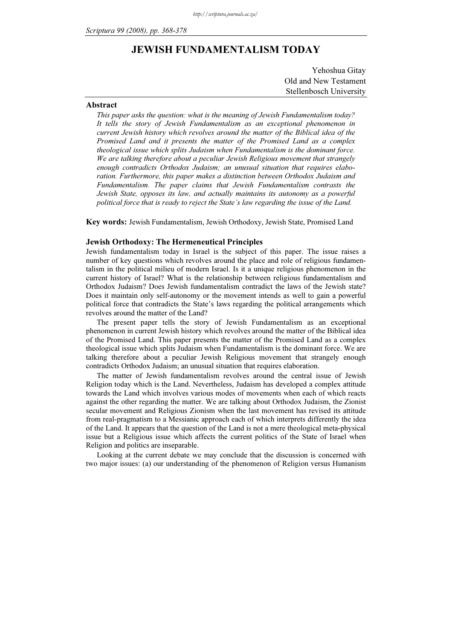# JEWISH FUNDAMENTALISM TODAY

Yehoshua Gitay Old and New Testament Stellenbosch University

### Abstract

This paper asks the question: what is the meaning of Jewish Fundamentalism today? It tells the story of Jewish Fundamentalism as an exceptional phenomenon in current Jewish history which revolves around the matter of the Biblical idea of the Promised Land and it presents the matter of the Promised Land as a complex theological issue which splits Judaism when Fundamentalism is the dominant force. We are talking therefore about a peculiar Jewish Religious movement that strangely enough contradicts Orthodox Judaism; an unusual situation that requires elaboration. Furthermore, this paper makes a distinction between Orthodox Judaism and Fundamentalism. The paper claims that Jewish Fundamentalism contrasts the Jewish State, opposes its law, and actually maintains its autonomy as a powerful political force that is ready to reject the State's law regarding the issue of the Land.

Key words: Jewish Fundamentalism, Jewish Orthodoxy, Jewish State, Promised Land

### Jewish Orthodoxy: The Hermeneutical Principles

Jewish fundamentalism today in Israel is the subject of this paper. The issue raises a number of key questions which revolves around the place and role of religious fundamentalism in the political milieu of modern Israel. Is it a unique religious phenomenon in the current history of Israel? What is the relationship between religious fundamentalism and Orthodox Judaism? Does Jewish fundamentalism contradict the laws of the Jewish state? Does it maintain only self-autonomy or the movement intends as well to gain a powerful political force that contradicts the State's laws regarding the political arrangements which revolves around the matter of the Land?

The present paper tells the story of Jewish Fundamentalism as an exceptional phenomenon in current Jewish history which revolves around the matter of the Biblical idea of the Promised Land. This paper presents the matter of the Promised Land as a complex theological issue which splits Judaism when Fundamentalism is the dominant force. We are talking therefore about a peculiar Jewish Religious movement that strangely enough contradicts Orthodox Judaism; an unusual situation that requires elaboration.

The matter of Jewish fundamentalism revolves around the central issue of Jewish Religion today which is the Land. Nevertheless, Judaism has developed a complex attitude towards the Land which involves various modes of movements when each of which reacts against the other regarding the matter. We are talking about Orthodox Judaism, the Zionist secular movement and Religious Zionism when the last movement has revised its attitude from real-pragmatism to a Messianic approach each of which interprets differently the idea of the Land. It appears that the question of the Land is not a mere theological meta-physical issue but a Religious issue which affects the current politics of the State of Israel when Religion and politics are inseparable.

Looking at the current debate we may conclude that the discussion is concerned with two major issues: (a) our understanding of the phenomenon of Religion versus Humanism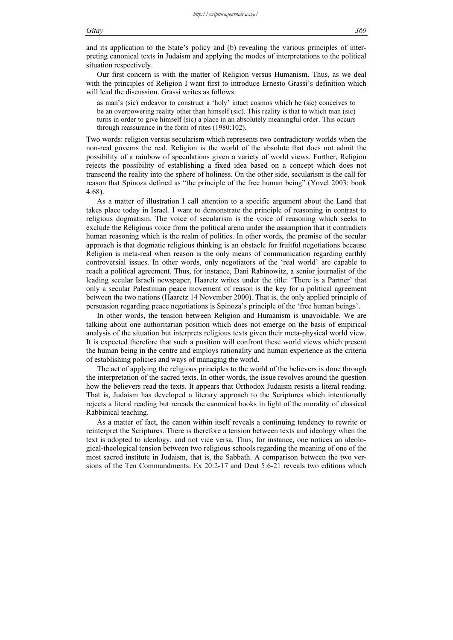and its application to the State's policy and (b) revealing the various principles of interpreting canonical texts in Judaism and applying the modes of interpretations to the political situation respectively.

Our first concern is with the matter of Religion versus Humanism. Thus, as we deal with the principles of Religion I want first to introduce Ernesto Grassi's definition which will lead the discussion. Grassi writes as follows:

as man's (sic) endeavor to construct a 'holy' intact cosmos which he (sic) conceives to be an overpowering reality other than himself (sic). This reality is that to which man (sic) turns in order to give himself (sic) a place in an absolutely meaningful order. This occurs through reassurance in the form of rites (1980:102).

Two words: religion versus secularism which represents two contradictory worlds when the non-real governs the real. Religion is the world of the absolute that does not admit the possibility of a rainbow of speculations given a variety of world views. Further, Religion rejects the possibility of establishing a fixed idea based on a concept which does not transcend the reality into the sphere of holiness. On the other side, secularism is the call for reason that Spinoza defined as "the principle of the free human being" (Yovel 2003: book 4:68).

As a matter of illustration I call attention to a specific argument about the Land that takes place today in Israel. I want to demonstrate the principle of reasoning in contrast to religious dogmatism. The voice of secularism is the voice of reasoning which seeks to exclude the Religious voice from the political arena under the assumption that it contradicts human reasoning which is the realm of politics. In other words, the premise of the secular approach is that dogmatic religious thinking is an obstacle for fruitful negotiations because Religion is meta-real when reason is the only means of communication regarding earthly controversial issues. In other words, only negotiators of the 'real world' are capable to reach a political agreement. Thus, for instance, Dani Rabinowitz, a senior journalist of the leading secular Israeli newspaper, Haaretz writes under the title: 'There is a Partner' that only a secular Palestinian peace movement of reason is the key for a political agreement between the two nations (Haaretz 14 November 2000). That is, the only applied principle of persuasion regarding peace negotiations is Spinoza's principle of the 'free human beings'.

In other words, the tension between Religion and Humanism is unavoidable. We are talking about one authoritarian position which does not emerge on the basis of empirical analysis of the situation but interprets religious texts given their meta-physical world view. It is expected therefore that such a position will confront these world views which present the human being in the centre and employs rationality and human experience as the criteria of establishing policies and ways of managing the world.

The act of applying the religious principles to the world of the believers is done through the interpretation of the sacred texts. In other words, the issue revolves around the question how the believers read the texts. It appears that Orthodox Judaism resists a literal reading. That is, Judaism has developed a literary approach to the Scriptures which intentionally rejects a literal reading but rereads the canonical books in light of the morality of classical Rabbinical teaching.

As a matter of fact, the canon within itself reveals a continuing tendency to rewrite or reinterpret the Scriptures. There is therefore a tension between texts and ideology when the text is adopted to ideology, and not vice versa. Thus, for instance, one notices an ideological-theological tension between two religious schools regarding the meaning of one of the most sacred institute in Judaism, that is, the Sabbath. A comparison between the two versions of the Ten Commandments: Ex 20:2-17 and Deut 5:6-21 reveals two editions which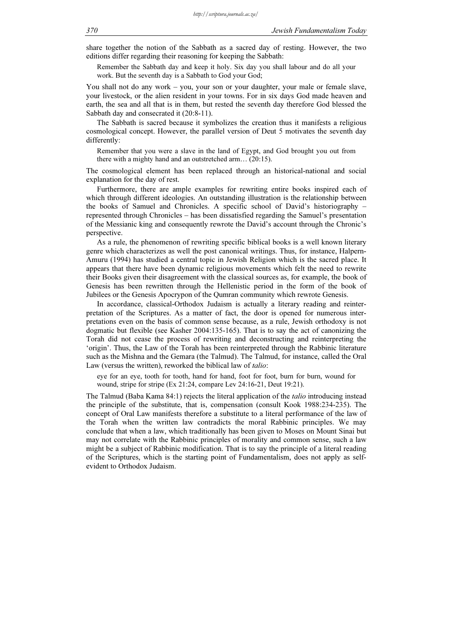share together the notion of the Sabbath as a sacred day of resting. However, the two editions differ regarding their reasoning for keeping the Sabbath:

Remember the Sabbath day and keep it holy. Six day you shall labour and do all your work. But the seventh day is a Sabbath to God your God;

You shall not do any work – you, your son or your daughter, your male or female slave, your livestock, or the alien resident in your towns. For in six days God made heaven and earth, the sea and all that is in them, but rested the seventh day therefore God blessed the Sabbath day and consecrated it (20:8-11).

The Sabbath is sacred because it symbolizes the creation thus it manifests a religious cosmological concept. However, the parallel version of Deut 5 motivates the seventh day differently:

Remember that you were a slave in the land of Egypt, and God brought you out from there with a mighty hand and an outstretched arm… (20:15).

The cosmological element has been replaced through an historical-national and social explanation for the day of rest.

Furthermore, there are ample examples for rewriting entire books inspired each of which through different ideologies. An outstanding illustration is the relationship between the books of Samuel and Chronicles. A specific school of David's historiography – represented through Chronicles – has been dissatisfied regarding the Samuel's presentation of the Messianic king and consequently rewrote the David's account through the Chronic's perspective.

As a rule, the phenomenon of rewriting specific biblical books is a well known literary genre which characterizes as well the post canonical writings. Thus, for instance, Halpern-Amuru (1994) has studied a central topic in Jewish Religion which is the sacred place. It appears that there have been dynamic religious movements which felt the need to rewrite their Books given their disagreement with the classical sources as, for example, the book of Genesis has been rewritten through the Hellenistic period in the form of the book of Jubilees or the Genesis Apocrypon of the Qumran community which rewrote Genesis.

In accordance, classical-Orthodox Judaism is actually a literary reading and reinterpretation of the Scriptures. As a matter of fact, the door is opened for numerous interpretations even on the basis of common sense because, as a rule, Jewish orthodoxy is not dogmatic but flexible (see Kasher 2004:135-165). That is to say the act of canonizing the Torah did not cease the process of rewriting and deconstructing and reinterpreting the 'origin'. Thus, the Law of the Torah has been reinterpreted through the Rabbinic literature such as the Mishna and the Gemara (the Talmud). The Talmud, for instance, called the Oral Law (versus the written), reworked the biblical law of talio:

eye for an eye, tooth for tooth, hand for hand, foot for foot, burn for burn, wound for wound, stripe for stripe (Ex 21:24, compare Lev 24:16-21, Deut 19:21).

The Talmud (Baba Kama 84:1) rejects the literal application of the *talio* introducing instead the principle of the substitute, that is, compensation (consult Kook 1988:234-235). The concept of Oral Law manifests therefore a substitute to a literal performance of the law of the Torah when the written law contradicts the moral Rabbinic principles. We may conclude that when a law, which traditionally has been given to Moses on Mount Sinai but may not correlate with the Rabbinic principles of morality and common sense, such a law might be a subject of Rabbinic modification. That is to say the principle of a literal reading of the Scriptures, which is the starting point of Fundamentalism, does not apply as selfevident to Orthodox Judaism.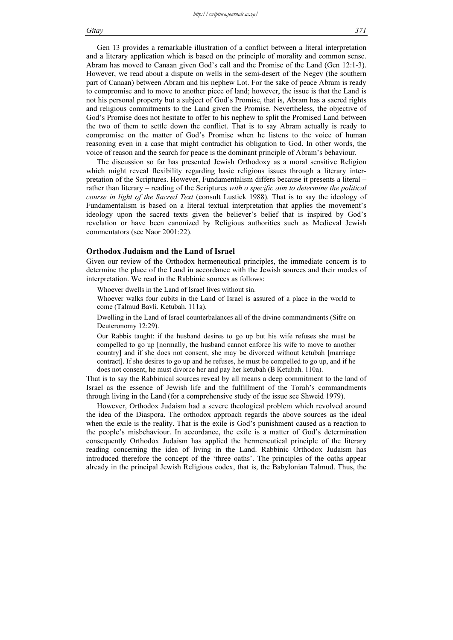### Gitay 371

Gen 13 provides a remarkable illustration of a conflict between a literal interpretation and a literary application which is based on the principle of morality and common sense. Abram has moved to Canaan given God's call and the Promise of the Land (Gen 12:1-3). However, we read about a dispute on wells in the semi-desert of the Negev (the southern part of Canaan) between Abram and his nephew Lot. For the sake of peace Abram is ready to compromise and to move to another piece of land; however, the issue is that the Land is not his personal property but a subject of God's Promise, that is, Abram has a sacred rights and religious commitments to the Land given the Promise. Nevertheless, the objective of God's Promise does not hesitate to offer to his nephew to split the Promised Land between the two of them to settle down the conflict. That is to say Abram actually is ready to compromise on the matter of God's Promise when he listens to the voice of human reasoning even in a case that might contradict his obligation to God. In other words, the voice of reason and the search for peace is the dominant principle of Abram's behaviour.

The discussion so far has presented Jewish Orthodoxy as a moral sensitive Religion which might reveal flexibility regarding basic religious issues through a literary interpretation of the Scriptures. However, Fundamentalism differs because it presents a literal – rather than literary – reading of the Scriptures with a specific aim to determine the political course in light of the Sacred Text (consult Lustick 1988). That is to say the ideology of Fundamentalism is based on a literal textual interpretation that applies the movement's ideology upon the sacred texts given the believer's belief that is inspired by God's revelation or have been canonized by Religious authorities such as Medieval Jewish commentators (see Naor 2001:22).

### Orthodox Judaism and the Land of Israel

Given our review of the Orthodox hermeneutical principles, the immediate concern is to determine the place of the Land in accordance with the Jewish sources and their modes of interpretation. We read in the Rabbinic sources as follows:

Whoever dwells in the Land of Israel lives without sin.

Whoever walks four cubits in the Land of Israel is assured of a place in the world to come (Talmud Bavli. Ketubah. 111a).

Dwelling in the Land of Israel counterbalances all of the divine commandments (Sifre on Deuteronomy 12:29).

Our Rabbis taught: if the husband desires to go up but his wife refuses she must be compelled to go up [normally, the husband cannot enforce his wife to move to another country] and if she does not consent, she may be divorced without ketubah [marriage contract]. If she desires to go up and he refuses, he must be compelled to go up, and if he does not consent, he must divorce her and pay her ketubah (B Ketubah. 110a).

That is to say the Rabbinical sources reveal by all means a deep commitment to the land of Israel as the essence of Jewish life and the fulfillment of the Torah's commandments through living in the Land (for a comprehensive study of the issue see Shweid 1979).

However, Orthodox Judaism had a severe theological problem which revolved around the idea of the Diaspora. The orthodox approach regards the above sources as the ideal when the exile is the reality. That is the exile is God's punishment caused as a reaction to the people's misbehaviour. In accordance, the exile is a matter of God's determination consequently Orthodox Judaism has applied the hermeneutical principle of the literary reading concerning the idea of living in the Land. Rabbinic Orthodox Judaism has introduced therefore the concept of the 'three oaths'. The principles of the oaths appear already in the principal Jewish Religious codex, that is, the Babylonian Talmud. Thus, the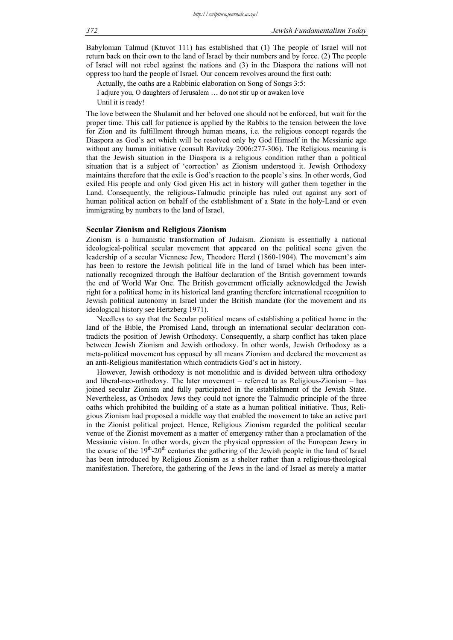Babylonian Talmud (Ktuvot 111) has established that (1) The people of Israel will not return back on their own to the land of Israel by their numbers and by force. (2) The people of Israel will not rebel against the nations and (3) in the Diaspora the nations will not oppress too hard the people of Israel. Our concern revolves around the first oath:

Actually, the oaths are a Rabbinic elaboration on Song of Songs 3:5:

I adjure you, O daughters of Jerusalem … do not stir up or awaken love Until it is ready!

The love between the Shulamit and her beloved one should not be enforced, but wait for the proper time. This call for patience is applied by the Rabbis to the tension between the love for Zion and its fulfillment through human means, i.e. the religious concept regards the Diaspora as God's act which will be resolved only by God Himself in the Messianic age without any human initiative (consult Ravitzky 2006:277-306). The Religious meaning is that the Jewish situation in the Diaspora is a religious condition rather than a political situation that is a subject of 'correction' as Zionism understood it. Jewish Orthodoxy maintains therefore that the exile is God's reaction to the people's sins. In other words, God exiled His people and only God given His act in history will gather them together in the Land. Consequently, the religious-Talmudic principle has ruled out against any sort of human political action on behalf of the establishment of a State in the holy-Land or even immigrating by numbers to the land of Israel.

#### Secular Zionism and Religious Zionism

Zionism is a humanistic transformation of Judaism. Zionism is essentially a national ideological-political secular movement that appeared on the political scene given the leadership of a secular Viennese Jew, Theodore Herzl (1860-1904). The movement's aim has been to restore the Jewish political life in the land of Israel which has been internationally recognized through the Balfour declaration of the British government towards the end of World War One. The British government officially acknowledged the Jewish right for a political home in its historical land granting therefore international recognition to Jewish political autonomy in Israel under the British mandate (for the movement and its ideological history see Hertzberg 1971).

Needless to say that the Secular political means of establishing a political home in the land of the Bible, the Promised Land, through an international secular declaration contradicts the position of Jewish Orthodoxy. Consequently, a sharp conflict has taken place between Jewish Zionism and Jewish orthodoxy. In other words, Jewish Orthodoxy as a meta-political movement has opposed by all means Zionism and declared the movement as an anti-Religious manifestation which contradicts God's act in history.

However, Jewish orthodoxy is not monolithic and is divided between ultra orthodoxy and liberal-neo-orthodoxy. The later movement – referred to as Religious-Zionism – has joined secular Zionism and fully participated in the establishment of the Jewish State. Nevertheless, as Orthodox Jews they could not ignore the Talmudic principle of the three oaths which prohibited the building of a state as a human political initiative. Thus, Religious Zionism had proposed a middle way that enabled the movement to take an active part in the Zionist political project. Hence, Religious Zionism regarded the political secular venue of the Zionist movement as a matter of emergency rather than a proclamation of the Messianic vision. In other words, given the physical oppression of the European Jewry in the course of the 19<sup>th</sup>-20<sup>th</sup> centuries the gathering of the Jewish people in the land of Israel has been introduced by Religious Zionism as a shelter rather than a religious-theological manifestation. Therefore, the gathering of the Jews in the land of Israel as merely a matter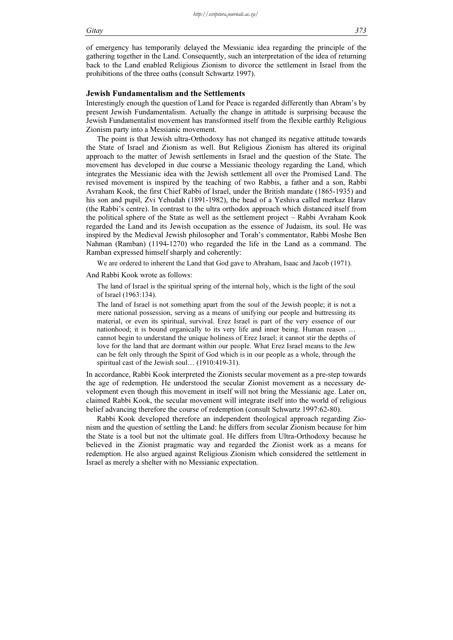### Gitay 373

of emergency has temporarily delayed the Messianic idea regarding the principle of the gathering together in the Land. Consequently, such an interpretation of the idea of returning back to the Land enabled Religious Zionism to divorce the settlement in Israel from the prohibitions of the three oaths (consult Schwartz 1997).

### Jewish Fundamentalism and the Settlements

Interestingly enough the question of Land for Peace is regarded differently than Abram's by present Jewish Fundamentalism. Actually the change in attitude is surprising because the Jewish Fundamentalist movement has transformed itself from the flexible earthly Religious Zionism party into a Messianic movement.

The point is that Jewish ultra-Orthodoxy has not changed its negative attitude towards the State of Israel and Zionism as well. But Religious Zionism has altered its original approach to the matter of Jewish settlements in Israel and the question of the State. The movement has developed in due course a Messianic theology regarding the Land, which integrates the Messianic idea with the Jewish settlement all over the Promised Land. The revised movement is inspired by the teaching of two Rabbis, a father and a son, Rabbi Avraham Kook, the first Chief Rabbi of Israel, under the British mandate (1865-1935) and his son and pupil, Zvi Yehudah (1891-1982), the head of a Yeshiva called merkaz Harav (the Rabbi's centre). In contrast to the ultra orthodox approach which distanced itself from the political sphere of the State as well as the settlement project – Rabbi Avraham Kook regarded the Land and its Jewish occupation as the essence of Judaism, its soul. He was inspired by the Medieval Jewish philosopher and Torah's commentator, Rabbi Moshe Ben Nahman (Ramban) (1194-1270) who regarded the life in the Land as a command. The Ramban expressed himself sharply and coherently:

We are ordered to inherent the Land that God gave to Abraham, Isaac and Jacob (1971).

And Rabbi Kook wrote as follows:

The land of Israel is the spiritual spring of the internal holy, which is the light of the soul of Israel (1963:134).

The land of Israel is not something apart from the soul of the Jewish people; it is not a mere national possession, serving as a means of unifying our people and buttressing its material, or even its spiritual, survival. Erez Israel is part of the very essence of our nationhood; it is bound organically to its very life and inner being. Human reason … cannot begin to understand the unique holiness of Erez Israel; it cannot stir the depths of love for the land that are dormant within our people. What Erez Israel means to the Jew can be felt only through the Spirit of God which is in our people as a whole, through the spiritual cast of the Jewish soul… (1910:419-31).

In accordance, Rabbi Kook interpreted the Zionists secular movement as a pre-step towards the age of redemption. He understood the secular Zionist movement as a necessary development even though this movement in itself will not bring the Messianic age. Later on, claimed Rabbi Kook, the secular movement will integrate itself into the world of religious belief advancing therefore the course of redemption (consult Schwartz 1997:62-80).

Rabbi Kook developed therefore an independent theological approach regarding Zionism and the question of settling the Land: he differs from secular Zionism because for him the State is a tool but not the ultimate goal. He differs from Ultra-Orthodoxy because he believed in the Zionist pragmatic way and regarded the Zionist work as a means for redemption. He also argued against Religious Zionism which considered the settlement in Israel as merely a shelter with no Messianic expectation.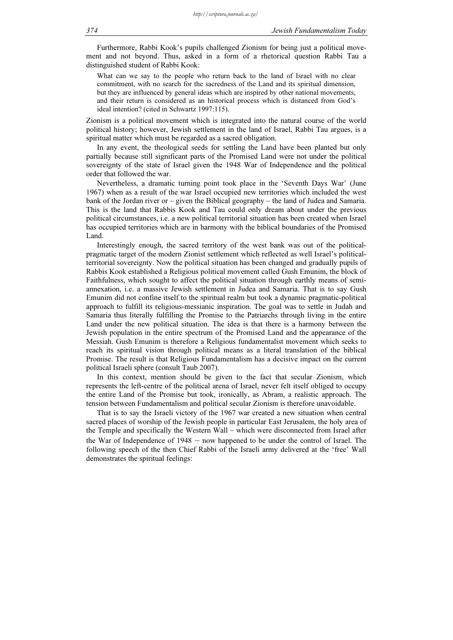Furthermore, Rabbi Kook's pupils challenged Zionism for being just a political movement and not beyond. Thus, asked in a form of a rhetorical question Rabbi Tau a distinguished student of Rabbi Kook:

What can we say to the people who return back to the land of Israel with no clear commitment, with no search for the sacredness of the Land and its spiritual dimension, but they are influenced by general ideas which are inspired by other national movements, and their return is considered as an historical process which is distanced from God's ideal intention? (cited in Schwartz 1997:115).

Zionism is a political movement which is integrated into the natural course of the world political history; however, Jewish settlement in the land of Israel, Rabbi Tau argues, is a spiritual matter which must be regarded as a sacred obligation.

In any event, the theological seeds for settling the Land have been planted but only partially because still significant parts of the Promised Land were not under the political sovereignty of the state of Israel given the 1948 War of Independence and the political order that followed the war.

Nevertheless, a dramatic turning point took place in the 'Seventh Days War' (June 1967) when as a result of the war Israel occupied new territories which included the west bank of the Jordan river or – given the Biblical geography – the land of Judea and Samaria. This is the land that Rabbis Kook and Tau could only dream about under the previous political circumstances, i.e. a new political territorial situation has been created when Israel has occupied territories which are in harmony with the biblical boundaries of the Promised Land.

Interestingly enough, the sacred territory of the west bank was out of the politicalpragmatic target of the modern Zionist settlement which reflected as well Israel's politicalterritorial sovereignty. Now the political situation has been changed and gradually pupils of Rabbis Kook established a Religious political movement called Gush Emunim, the block of Faithfulness, which sought to affect the political situation through earthly means of semiannexation, i.e. a massive Jewish settlement in Judea and Samaria. That is to say Gush Emunim did not confine itself to the spiritual realm but took a dynamic pragmatic-political approach to fulfill its religious-messianic inspiration. The goal was to settle in Judah and Samaria thus literally fulfilling the Promise to the Patriarchs through living in the entire Land under the new political situation. The idea is that there is a harmony between the Jewish population in the entire spectrum of the Promised Land and the appearance of the Messiah. Gush Emunim is therefore a Religious fundamentalist movement which seeks to reach its spiritual vision through political means as a literal translation of the biblical Promise. The result is that Religious Fundamentalism has a decisive impact on the current political Israeli sphere (consult Taub 2007).

In this context, mention should be given to the fact that secular Zionism, which represents the left-centre of the political arena of Israel, never felt itself obliged to occupy the entire Land of the Promise but took, ironically, as Abram, a realistic approach. The tension between Fundamentalism and political secular Zionism is therefore unavoidable.

That is to say the Israeli victory of the 1967 war created a new situation when central sacred places of worship of the Jewish people in particular East Jerusalem, the holy area of the Temple and specifically the Western Wall – which were disconnected from Israel after the War of Independence of 1948 – now happened to be under the control of Israel. The following speech of the then Chief Rabbi of the Israeli army delivered at the 'free' Wall demonstrates the spiritual feelings: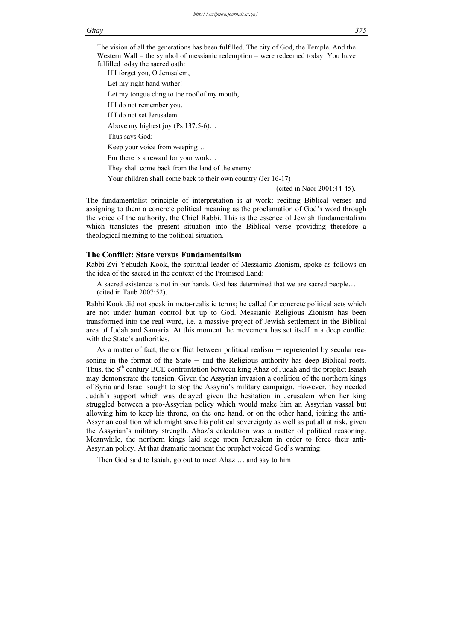*http://scriptura.journals.ac.za/*

### Gitay 375

The vision of all the generations has been fulfilled. The city of God, the Temple. And the Western Wall – the symbol of messianic redemption – were redeemed today. You have fulfilled today the sacred oath:

If I forget you, O Jerusalem,

Let my right hand wither!

Let my tongue cling to the roof of my mouth,

If I do not remember you.

If I do not set Jerusalem

Above my highest joy (Ps 137:5-6)…

Thus says God:

Keep your voice from weeping…

For there is a reward for your work…

They shall come back from the land of the enemy

Your children shall come back to their own country (Jer 16-17)

(cited in Naor 2001:44-45).

The fundamentalist principle of interpretation is at work: reciting Biblical verses and assigning to them a concrete political meaning as the proclamation of God's word through the voice of the authority, the Chief Rabbi. This is the essence of Jewish fundamentalism which translates the present situation into the Biblical verse providing therefore a theological meaning to the political situation.

### The Conflict: State versus Fundamentalism

Rabbi Zvi Yehudah Kook, the spiritual leader of Messianic Zionism, spoke as follows on the idea of the sacred in the context of the Promised Land:

A sacred existence is not in our hands. God has determined that we are sacred people… (cited in Taub 2007:52).

Rabbi Kook did not speak in meta-realistic terms; he called for concrete political acts which are not under human control but up to God. Messianic Religious Zionism has been transformed into the real word, i.e. a massive project of Jewish settlement in the Biblical area of Judah and Samaria. At this moment the movement has set itself in a deep conflict with the State's authorities.

As a matter of fact, the conflict between political realism – represented by secular reasoning in the format of the State – and the Religious authority has deep Biblical roots. Thus, the  $8<sup>th</sup>$  century BCE confrontation between king Ahaz of Judah and the prophet Isaiah may demonstrate the tension. Given the Assyrian invasion a coalition of the northern kings of Syria and Israel sought to stop the Assyria's military campaign. However, they needed Judah's support which was delayed given the hesitation in Jerusalem when her king struggled between a pro-Assyrian policy which would make him an Assyrian vassal but allowing him to keep his throne, on the one hand, or on the other hand, joining the anti-Assyrian coalition which might save his political sovereignty as well as put all at risk, given the Assyrian's military strength. Ahaz's calculation was a matter of political reasoning. Meanwhile, the northern kings laid siege upon Jerusalem in order to force their anti-Assyrian policy. At that dramatic moment the prophet voiced God's warning:

Then God said to Isaiah, go out to meet Ahaz … and say to him: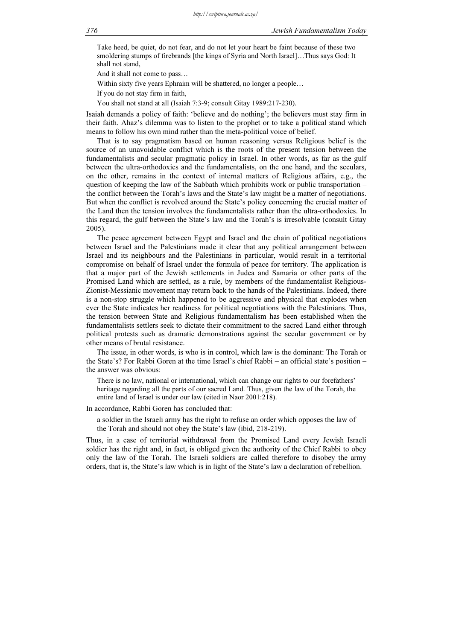Take heed, be quiet, do not fear, and do not let your heart be faint because of these two smoldering stumps of firebrands [the kings of Syria and North Israel]…Thus says God: It shall not stand,

And it shall not come to pass…

Within sixty five years Ephraim will be shattered, no longer a people…

If you do not stay firm in faith,

You shall not stand at all (Isaiah 7:3-9; consult Gitay 1989:217-230).

Isaiah demands a policy of faith: 'believe and do nothing'; the believers must stay firm in their faith. Ahaz's dilemma was to listen to the prophet or to take a political stand which means to follow his own mind rather than the meta-political voice of belief.

That is to say pragmatism based on human reasoning versus Religious belief is the source of an unavoidable conflict which is the roots of the present tension between the fundamentalists and secular pragmatic policy in Israel. In other words, as far as the gulf between the ultra-orthodoxies and the fundamentalists, on the one hand, and the seculars, on the other, remains in the context of internal matters of Religious affairs, e.g., the question of keeping the law of the Sabbath which prohibits work or public transportation – the conflict between the Torah's laws and the State's law might be a matter of negotiations. But when the conflict is revolved around the State's policy concerning the crucial matter of the Land then the tension involves the fundamentalists rather than the ultra-orthodoxies. In this regard, the gulf between the State's law and the Torah's is irresolvable (consult Gitay 2005).

The peace agreement between Egypt and Israel and the chain of political negotiations between Israel and the Palestinians made it clear that any political arrangement between Israel and its neighbours and the Palestinians in particular, would result in a territorial compromise on behalf of Israel under the formula of peace for territory. The application is that a major part of the Jewish settlements in Judea and Samaria or other parts of the Promised Land which are settled, as a rule, by members of the fundamentalist Religious-Zionist-Messianic movement may return back to the hands of the Palestinians. Indeed, there is a non-stop struggle which happened to be aggressive and physical that explodes when ever the State indicates her readiness for political negotiations with the Palestinians. Thus, the tension between State and Religious fundamentalism has been established when the fundamentalists settlers seek to dictate their commitment to the sacred Land either through political protests such as dramatic demonstrations against the secular government or by other means of brutal resistance.

The issue, in other words, is who is in control, which law is the dominant: The Torah or the State's? For Rabbi Goren at the time Israel's chief Rabbi – an official state's position – the answer was obvious:

There is no law, national or international, which can change our rights to our forefathers' heritage regarding all the parts of our sacred Land. Thus, given the law of the Torah, the entire land of Israel is under our law (cited in Naor 2001:218).

In accordance, Rabbi Goren has concluded that:

a soldier in the Israeli army has the right to refuse an order which opposes the law of the Torah and should not obey the State's law (ibid, 218-219).

Thus, in a case of territorial withdrawal from the Promised Land every Jewish Israeli soldier has the right and, in fact, is obliged given the authority of the Chief Rabbi to obey only the law of the Torah. The Israeli soldiers are called therefore to disobey the army orders, that is, the State's law which is in light of the State's law a declaration of rebellion.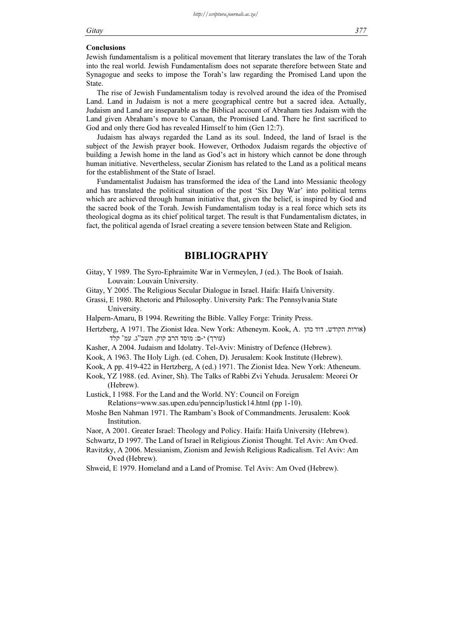### Gitay 377

### Conclusions

Jewish fundamentalism is a political movement that literary translates the law of the Torah into the real world. Jewish Fundamentalism does not separate therefore between State and Synagogue and seeks to impose the Torah's law regarding the Promised Land upon the State.

The rise of Jewish Fundamentalism today is revolved around the idea of the Promised Land. Land in Judaism is not a mere geographical centre but a sacred idea. Actually, Judaism and Land are inseparable as the Biblical account of Abraham ties Judaism with the Land given Abraham's move to Canaan, the Promised Land. There he first sacrificed to God and only there God has revealed Himself to him (Gen 12:7).

Judaism has always regarded the Land as its soul. Indeed, the land of Israel is the subject of the Jewish prayer book. However, Orthodox Judaism regards the objective of building a Jewish home in the land as God's act in history which cannot be done through human initiative. Nevertheless, secular Zionism has related to the Land as a political means for the establishment of the State of Israel.

Fundamentalist Judaism has transformed the idea of the Land into Messianic theology and has translated the political situation of the post 'Six Day War' into political terms which are achieved through human initiative that, given the belief, is inspired by God and the sacred book of the Torah. Jewish Fundamentalism today is a real force which sets its theological dogma as its chief political target. The result is that Fundamentalism dictates, in fact, the political agenda of Israel creating a severe tension between State and Religion.

## **BIBLIOGRAPHY**

- Gitay, Y 1989. The Syro-Ephraimite War in Vermeylen, J (ed.). The Book of Isaiah. Louvain: Louvain University.
- Gitay, Y 2005. The Religious Secular Dialogue in Israel. Haifa: Haifa University.
- Grassi, E 1980. Rhetoric and Philosophy. University Park: The Pennsylvania State University.
- Halpern-Amaru, B 1994. Rewriting the Bible. Valley Forge: Trinity Press.
- Hertzberg, A 1971. The Zionist Idea. New York: Atheneym. Kook, A. הקודש. דוד כהן (עורך) י-ם: מוסד הרב קוק. תשכ"ג. עמ' קלד
- Kasher, A 2004. Judaism and Idolatry. Tel-Aviv: Ministry of Defence (Hebrew).
- Kook, A 1963. The Holy Ligh. (ed. Cohen, D). Jerusalem: Kook Institute (Hebrew).
- Kook, A pp. 419-422 in Hertzberg, A (ed.) 1971. The Zionist Idea. New York: Atheneum.
- Kook, YZ 1988. (ed. Aviner, Sh). The Talks of Rabbi Zvi Yehuda. Jerusalem: Meorei Or (Hebrew).
- Lustick, I 1988. For the Land and the World. NY: Council on Foreign Relations=www.sas.upen.edu/penncip/lustick14.html (pp 1-10).
- Moshe Ben Nahman 1971. The Rambam's Book of Commandments. Jerusalem: Kook **Institution**
- Naor, A 2001. Greater Israel: Theology and Policy. Haifa: Haifa University (Hebrew).
- Schwartz, D 1997. The Land of Israel in Religious Zionist Thought. Tel Aviv: Am Oved.
- Ravitzky, A 2006. Messianism, Zionism and Jewish Religious Radicalism. Tel Aviv: Am Oved (Hebrew).
- Shweid, E 1979. Homeland and a Land of Promise. Tel Aviv: Am Oved (Hebrew).